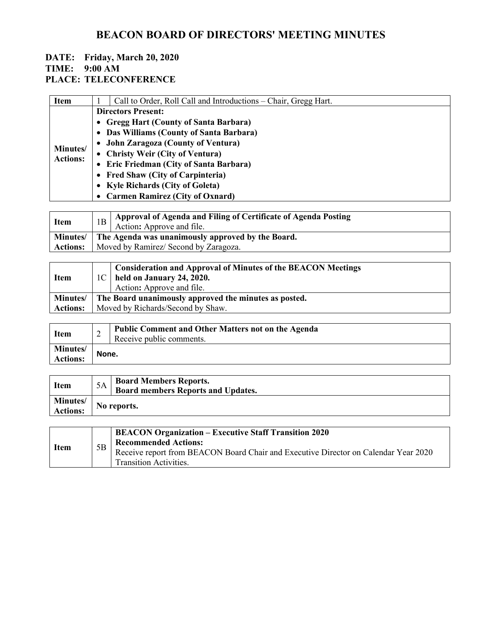# **BEACON BOARD OF DIRECTORS' MEETING MINUTES**

#### **DATE: Friday, March 20, 2020 TIME: 9:00 AM**

### **PLACE: TELECONFERENCE**

| <b>Item</b>                 | Call to Order, Roll Call and Introductions – Chair, Gregg Hart. |  |  |
|-----------------------------|-----------------------------------------------------------------|--|--|
| Minutes/<br><b>Actions:</b> | <b>Directors Present:</b>                                       |  |  |
|                             | • Gregg Hart (County of Santa Barbara)                          |  |  |
|                             | • Das Williams (County of Santa Barbara)                        |  |  |
|                             | • John Zaragoza (County of Ventura)                             |  |  |
|                             | • Christy Weir (City of Ventura)                                |  |  |
|                             | • Eric Friedman (City of Santa Barbara)                         |  |  |
|                             | • Fred Shaw (City of Carpinteria)                               |  |  |
|                             | • Kyle Richards (City of Goleta)                                |  |  |
|                             | • Carmen Ramirez (City of Oxnard)                               |  |  |

| <b>Item</b>     |                                                             | $\vert$ 1B $\vert$ Approval of Agenda and Filing of Certificate of Agenda Posting<br>Action: Approve and file. |  |
|-----------------|-------------------------------------------------------------|----------------------------------------------------------------------------------------------------------------|--|
|                 | Minutes   The Agenda was unanimously approved by the Board. |                                                                                                                |  |
| <b>Actions:</b> |                                                             | Moved by Ramirez/ Second by Zaragoza.                                                                          |  |

| <b>Item</b>     |                                   | <b>Consideration and Approval of Minutes of the BEACON Meetings</b><br>$1C$ held on January 24, 2020.<br>Action: Approve and file. |  |
|-----------------|-----------------------------------|------------------------------------------------------------------------------------------------------------------------------------|--|
| <b>Minutes/</b> |                                   | The Board unanimously approved the minutes as posted.                                                                              |  |
| <b>Actions:</b> | Moved by Richards/Second by Shaw. |                                                                                                                                    |  |

| <b>Item</b>                        | ∠     | <b>Public Comment and Other Matters not on the Agenda</b><br>Receive public comments. |
|------------------------------------|-------|---------------------------------------------------------------------------------------|
| <b>Minutes/</b><br><b>Actions:</b> | None. |                                                                                       |

| <b>Item</b>     |             | <b>Board Members Reports.</b>             |
|-----------------|-------------|-------------------------------------------|
|                 |             | <b>Board members Reports and Updates.</b> |
| <b>Minutes/</b> |             |                                           |
| <b>Actions:</b> | No reports. |                                           |

| <b>Item</b> | 5B | <b>BEACON Organization – Executive Staff Transition 2020</b><br><b>Recommended Actions:</b>                          |
|-------------|----|----------------------------------------------------------------------------------------------------------------------|
|             |    | Receive report from BEACON Board Chair and Executive Director on Calendar Year 2020<br><b>Transition Activities.</b> |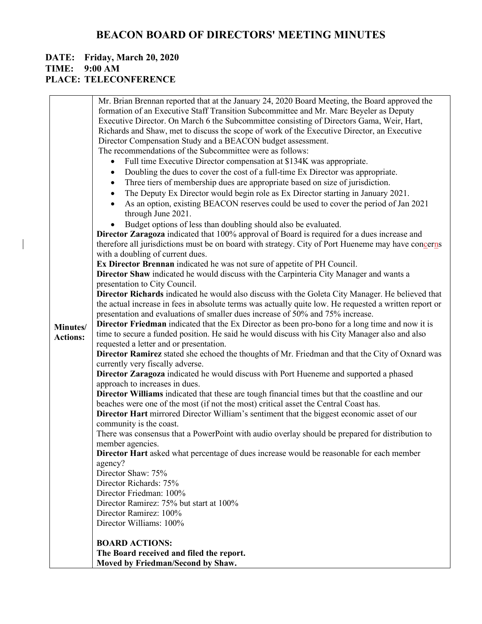# **BEACON BOARD OF DIRECTORS' MEETING MINUTES**

### **DATE: Friday, March 20, 2020 TIME: 9:00 AM PLACE: TELECONFERENCE**

 $\overline{\phantom{a}}$ 

|                 | Mr. Brian Brennan reported that at the January 24, 2020 Board Meeting, the Board approved the                              |
|-----------------|----------------------------------------------------------------------------------------------------------------------------|
|                 | formation of an Executive Staff Transition Subcommittee and Mr. Marc Beyeler as Deputy                                     |
|                 | Executive Director. On March 6 the Subcommittee consisting of Directors Gama, Weir, Hart,                                  |
|                 | Richards and Shaw, met to discuss the scope of work of the Executive Director, an Executive                                |
|                 | Director Compensation Study and a BEACON budget assessment.                                                                |
|                 | The recommendations of the Subcommittee were as follows:                                                                   |
|                 | Full time Executive Director compensation at \$134K was appropriate.<br>$\bullet$                                          |
|                 | Doubling the dues to cover the cost of a full-time Ex Director was appropriate.<br>٠                                       |
|                 | Three tiers of membership dues are appropriate based on size of jurisdiction.<br>$\bullet$                                 |
|                 | The Deputy Ex Director would begin role as Ex Director starting in January 2021.<br>$\bullet$                              |
|                 | As an option, existing BEACON reserves could be used to cover the period of Jan 2021                                       |
|                 | through June 2021.                                                                                                         |
|                 | Budget options of less than doubling should also be evaluated.                                                             |
|                 | Director Zaragoza indicated that 100% approval of Board is required for a dues increase and                                |
|                 | therefore all jurisdictions must be on board with strategy. City of Port Hueneme may have concerns                         |
|                 | with a doubling of current dues.                                                                                           |
|                 | Ex Director Brennan indicated he was not sure of appetite of PH Council.                                                   |
|                 | Director Shaw indicated he would discuss with the Carpinteria City Manager and wants a                                     |
|                 | presentation to City Council.                                                                                              |
|                 | Director Richards indicated he would also discuss with the Goleta City Manager. He believed that                           |
|                 | the actual increase in fees in absolute terms was actually quite low. He requested a written report or                     |
|                 | presentation and evaluations of smaller dues increase of 50% and 75% increase.                                             |
| Minutes/        | Director Friedman indicated that the Ex Director as been pro-bono for a long time and now it is                            |
| <b>Actions:</b> | time to secure a funded position. He said he would discuss with his City Manager also and also                             |
|                 | requested a letter and or presentation.                                                                                    |
|                 | Director Ramirez stated she echoed the thoughts of Mr. Friedman and that the City of Oxnard was                            |
|                 | currently very fiscally adverse.                                                                                           |
|                 | Director Zaragoza indicated he would discuss with Port Hueneme and supported a phased                                      |
|                 | approach to increases in dues.                                                                                             |
|                 | Director Williams indicated that these are tough financial times but that the coastline and our                            |
|                 | beaches were one of the most (if not the most) critical asset the Central Coast has.                                       |
|                 | Director Hart mirrored Director William's sentiment that the biggest economic asset of our                                 |
|                 | community is the coast.<br>There was consensus that a PowerPoint with audio overlay should be prepared for distribution to |
|                 | member agencies.                                                                                                           |
|                 | Director Hart asked what percentage of dues increase would be reasonable for each member                                   |
|                 | agency?                                                                                                                    |
|                 | Director Shaw: 75%                                                                                                         |
|                 | Director Richards: 75%                                                                                                     |
|                 | Director Friedman: 100%                                                                                                    |
|                 | Director Ramirez: 75% but start at 100%                                                                                    |
|                 | Director Ramirez: 100%                                                                                                     |
|                 | Director Williams: 100%                                                                                                    |
|                 |                                                                                                                            |
|                 | <b>BOARD ACTIONS:</b>                                                                                                      |
|                 | The Board received and filed the report.                                                                                   |
|                 | Moved by Friedman/Second by Shaw.                                                                                          |
|                 |                                                                                                                            |